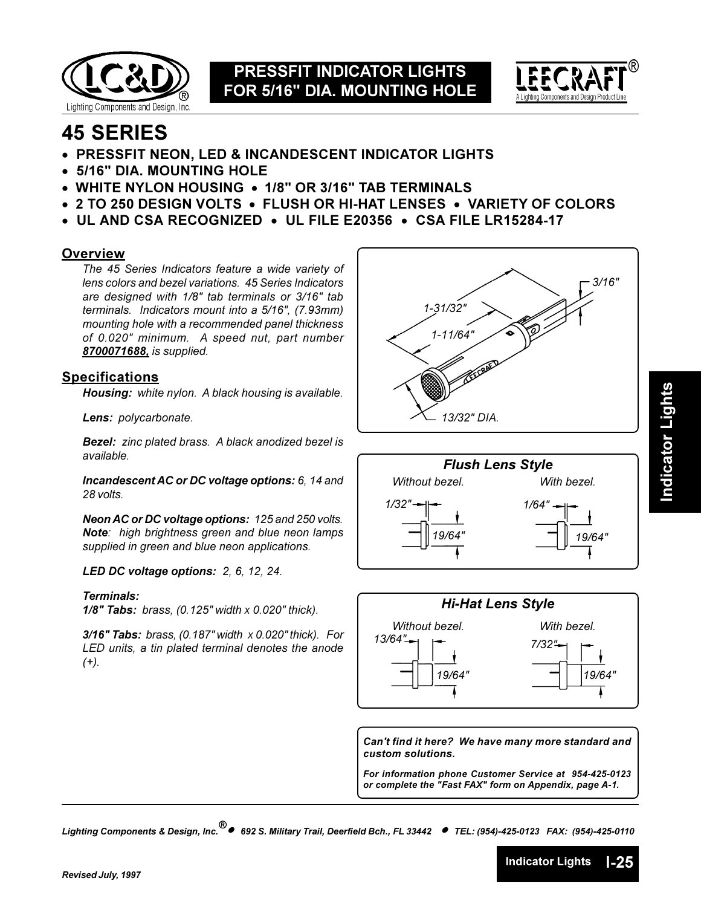



# **45 SERIES**

- PRESSFIT NEON, LED & INCANDESCENT INDICATOR LIGHTS
- 5/16" DIA. MOUNTING HOLE
- WHITE NYLON HOUSING 1/8" OR 3/16" TAB TERMINALS
- 2 TO 250 DESIGN VOLTS FLUSH OR HI-HAT LENSES VARIETY OF COLORS
- $\bullet$  UL AND CSA RECOGNIZED  $\bullet$  UL FILE E20356  $\bullet$  CSA FILE LR15284-17

#### **Overview**

The 45 Series Indicators feature a wide variety of lens colors and bezel variations. 45 Series Indicators are designed with 1/8" tab terminals or 3/16" tab terminals. Indicators mount into a 5/16", (7.93mm) mounting hole with a recommended panel thickness of 0.020" minimum. A speed nut, part number 8700071688, is supplied.

#### **Specifications**

Housing: white nylon. A black housing is available.

Lens: polycarbonate.

**Bezel:** zinc plated brass. A black anodized bezel is available.

Incandescent AC or DC voltage options: 6, 14 and 28 volts.

Neon AC or DC voltage options: 125 and 250 volts. Note: high brightness green and blue neon lamps supplied in green and blue neon applications.

LED DC voltage options: 2, 6, 12, 24.

#### Terminals:

 $1/8$ " Tabs: brass, (0.125" width x 0.020" thick).

3/16" Tabs: brass,  $(0.187"$  width  $x 0.020"$  thick). For LED units, a tin plated terminal denotes the anode  $(+)$ .







Can't find it here? We have many more standard and custom solutions.

For information phone Customer Service at 954-425-0123 or complete the "Fast FAX" form on Appendix, page A-1.

**Indicator Lights** 

 $L25$ 

Lighting Components & Design, Inc.<sup>®</sup> ● 692 S. Military Trail, Deerfield Bch., FL 33442 ● TEL: (954)-425-0123 FAX: (954)-425-0110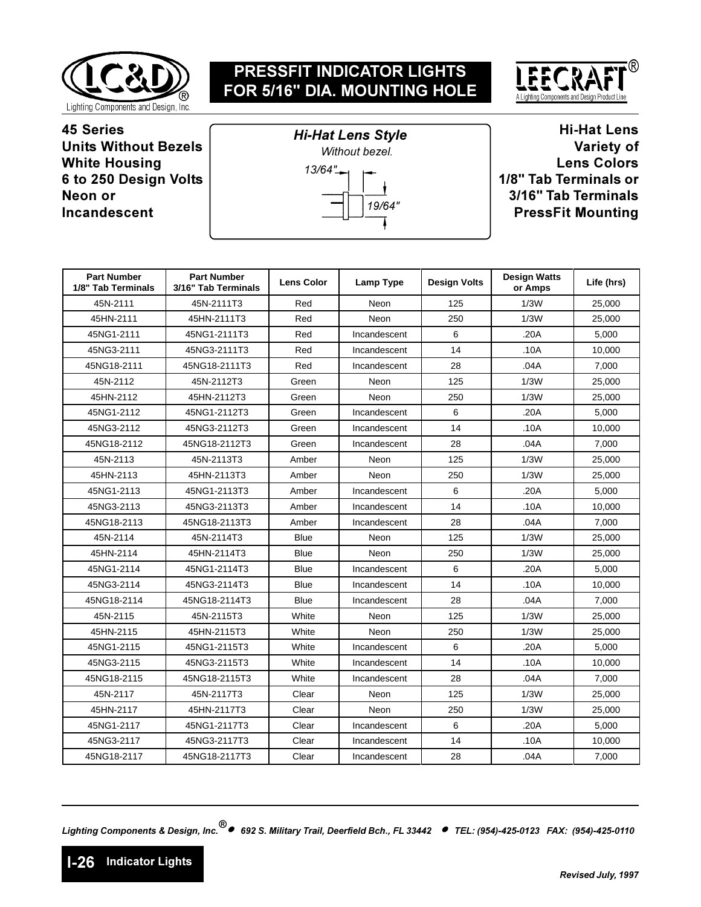



**45 Series Units Without Bezels White Housing 6 to 250 Design Volts Neon or Incandescent** 



**Hi-Hat Lens** Variety of **Lens Colors 1/8" Tab Terminals or 3/16" Tab Terminals PressFit Mounting** 

| <b>Part Number</b><br>1/8" Tab Terminals | <b>Part Number</b><br>3/16" Tab Terminals | <b>Lens Color</b> | Lamp Type    | <b>Design Volts</b> | <b>Design Watts</b><br>or Amps | Life (hrs) |
|------------------------------------------|-------------------------------------------|-------------------|--------------|---------------------|--------------------------------|------------|
| 45N-2111                                 | 45N-2111T3                                | Red               | Neon         | 125                 | 1/3W                           | 25,000     |
| 45HN-2111                                | 45HN-2111T3                               | Red               | Neon         | 250                 | 1/3W                           | 25,000     |
| 45NG1-2111                               | 45NG1-2111T3                              | Red               | Incandescent | 6                   | .20A                           | 5,000      |
| 45NG3-2111                               | 45NG3-2111T3                              | Red               | Incandescent | 14                  | .10A                           | 10,000     |
| 45NG18-2111                              | 45NG18-2111T3                             | Red               | Incandescent | 28                  | .04A                           | 7,000      |
| 45N-2112                                 | 45N-2112T3                                | Green             | Neon         | 125                 | 1/3W                           | 25,000     |
| 45HN-2112                                | 45HN-2112T3                               | Green             | Neon         | 250                 | 1/3W                           | 25,000     |
| 45NG1-2112                               | 45NG1-2112T3                              | Green             | Incandescent | 6                   | .20A                           | 5.000      |
| 45NG3-2112                               | 45NG3-2112T3                              | Green             | Incandescent | 14                  | .10A                           | 10,000     |
| 45NG18-2112                              | 45NG18-2112T3                             | Green             | Incandescent | 28                  | .04A                           | 7,000      |
| 45N-2113                                 | 45N-2113T3                                | Amber             | Neon         | 125                 | 1/3W                           | 25,000     |
| 45HN-2113                                | 45HN-2113T3                               | Amber             | Neon         | 250                 | 1/3W                           | 25,000     |
| 45NG1-2113                               | 45NG1-2113T3                              | Amber             | Incandescent | 6                   | .20A                           | 5,000      |
| 45NG3-2113                               | 45NG3-2113T3                              | Amber             | Incandescent | 14                  | .10A                           | 10,000     |
| 45NG18-2113                              | 45NG18-2113T3                             | Amber             | Incandescent | 28                  | .04A                           | 7.000      |
| 45N-2114                                 | 45N-2114T3                                | Blue              | Neon         | 125                 | 1/3W                           | 25,000     |
| 45HN-2114                                | 45HN-2114T3                               | <b>Blue</b>       | Neon         | 250                 | 1/3W                           | 25,000     |
| 45NG1-2114                               | 45NG1-2114T3                              | <b>Blue</b>       | Incandescent | 6                   | .20A                           | 5.000      |
| 45NG3-2114                               | 45NG3-2114T3                              | <b>Blue</b>       | Incandescent | 14                  | .10A                           | 10,000     |
| 45NG18-2114                              | 45NG18-2114T3                             | <b>Blue</b>       | Incandescent | 28                  | .04A                           | 7,000      |
| 45N-2115                                 | 45N-2115T3                                | White             | Neon         | 125                 | 1/3W                           | 25,000     |
| 45HN-2115                                | 45HN-2115T3                               | White             | <b>Neon</b>  | 250                 | 1/3W                           | 25,000     |
| 45NG1-2115                               | 45NG1-2115T3                              | White             | Incandescent | 6                   | .20A                           | 5,000      |
| 45NG3-2115                               | 45NG3-2115T3                              | White             | Incandescent | 14                  | .10A                           | 10,000     |
| 45NG18-2115                              | 45NG18-2115T3                             | White             | Incandescent | 28                  | .04A                           | 7,000      |
| 45N-2117                                 | 45N-2117T3                                | Clear             | Neon         | 125                 | 1/3W                           | 25,000     |
| 45HN-2117                                | 45HN-2117T3                               | Clear             | Neon         | 250                 | 1/3W                           | 25,000     |
| 45NG1-2117                               | 45NG1-2117T3                              | Clear             | Incandescent | 6                   | .20A                           | 5,000      |
| 45NG3-2117                               | 45NG3-2117T3                              | Clear             | Incandescent | 14                  | .10A                           | 10,000     |
| 45NG18-2117                              | 45NG18-2117T3                             | Clear             | Incandescent | 28                  | .04A                           | 7,000      |

*-- 

----- !""## \$%&'#()#')\*+"!,-%&'#()#')\*++\**

**1-26** dicator Lights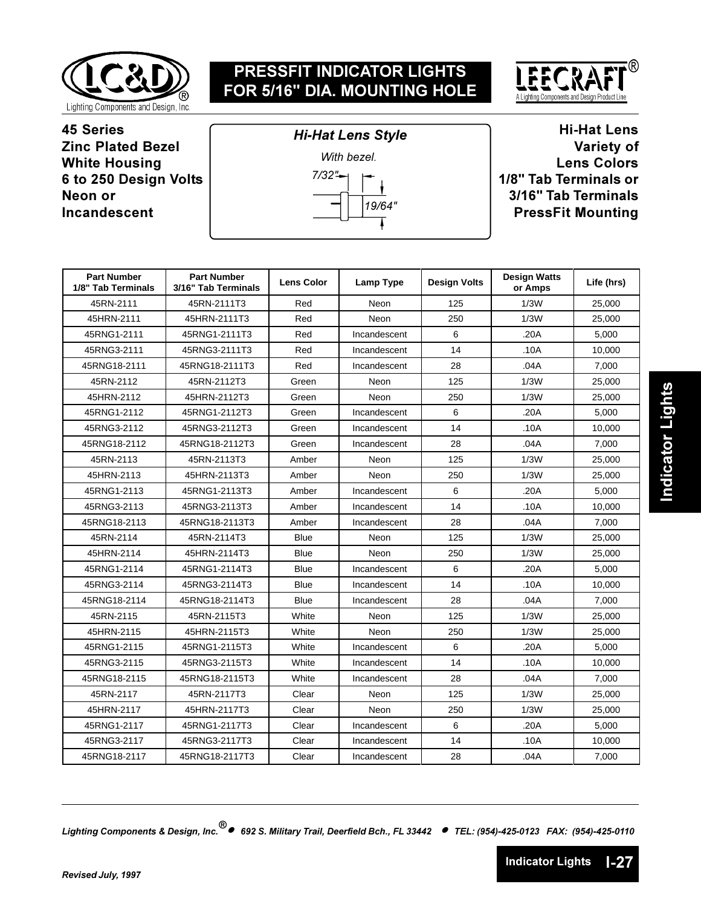



**45 Series Zinc Plated Bezel White Housing 6 to 250 Design Volts Neon or Incandescent** 



**Hi-Hat Lens** Variety of **Lens Colors 1/8" Tab Terminals or 3/16" Tab Terminals PressFit Mounting** 

| <b>Part Number</b><br>1/8" Tab Terminals | <b>Part Number</b><br>3/16" Tab Terminals | <b>Lens Color</b> | Lamp Type    | <b>Design Volts</b> | <b>Design Watts</b><br>or Amps | Life (hrs) |
|------------------------------------------|-------------------------------------------|-------------------|--------------|---------------------|--------------------------------|------------|
| 45RN-2111                                | 45RN-2111T3                               | Red               | Neon         | 125                 | 1/3W                           | 25,000     |
| 45HRN-2111                               | 45HRN-2111T3                              | Red               | Neon         | 250                 | 1/3W                           | 25,000     |
| 45RNG1-2111                              | 45RNG1-2111T3                             | Red               | Incandescent | 6                   | .20A                           | 5,000      |
| 45RNG3-2111                              | 45RNG3-2111T3                             | Red               | Incandescent | 14                  | .10A                           | 10.000     |
| 45RNG18-2111                             | 45RNG18-2111T3                            | Red               | Incandescent | 28                  | .04A                           | 7,000      |
| 45RN-2112                                | 45RN-2112T3                               | Green             | Neon         | 125                 | 1/3W                           | 25,000     |
| 45HRN-2112                               | 45HRN-2112T3                              | Green             | Neon         | 250                 | 1/3W                           | 25,000     |
| 45RNG1-2112                              | 45RNG1-2112T3                             | Green             | Incandescent | 6                   | .20A                           | 5,000      |
| 45RNG3-2112                              | 45RNG3-2112T3                             | Green             | Incandescent | 14                  | .10A                           | 10.000     |
| 45RNG18-2112                             | 45RNG18-2112T3                            | Green             | Incandescent | 28                  | .04A                           | 7,000      |
| 45RN-2113                                | 45RN-2113T3                               | Amber             | Neon         | 125                 | 1/3W                           | 25,000     |
| 45HRN-2113                               | 45HRN-2113T3                              | Amber             | Neon         | 250                 | 1/3W                           | 25,000     |
| 45RNG1-2113                              | 45RNG1-2113T3                             | Amber             | Incandescent | 6                   | .20A                           | 5,000      |
| 45RNG3-2113                              | 45RNG3-2113T3                             | Amber             | Incandescent | 14                  | .10A                           | 10,000     |
| 45RNG18-2113                             | 45RNG18-2113T3                            | Amber             | Incandescent | 28                  | .04A                           | 7,000      |
| 45RN-2114                                | 45RN-2114T3                               | Blue              | Neon         | 125                 | 1/3W                           | 25,000     |
| 45HRN-2114                               | 45HRN-2114T3                              | <b>Blue</b>       | Neon         | 250                 | 1/3W                           | 25,000     |
| 45RNG1-2114                              | 45RNG1-2114T3                             | Blue              | Incandescent | 6                   | .20A                           | 5.000      |
| 45RNG3-2114                              | 45RNG3-2114T3                             | Blue              | Incandescent | 14                  | .10A                           | 10,000     |
| 45RNG18-2114                             | 45RNG18-2114T3                            | Blue              | Incandescent | 28                  | .04A                           | 7,000      |
| 45RN-2115                                | 45RN-2115T3                               | White             | Neon         | 125                 | 1/3W                           | 25,000     |
| 45HRN-2115                               | 45HRN-2115T3                              | White             | Neon         | 250                 | 1/3W                           | 25,000     |
| 45RNG1-2115                              | 45RNG1-2115T3                             | White             | Incandescent | 6                   | .20A                           | 5,000      |
| 45RNG3-2115                              | 45RNG3-2115T3                             | White             | Incandescent | 14                  | .10A                           | 10.000     |
| 45RNG18-2115                             | 45RNG18-2115T3                            | White             | Incandescent | 28                  | .04A                           | 7,000      |
| 45RN-2117                                | 45RN-2117T3                               | Clear             | Neon         | 125                 | 1/3W                           | 25,000     |
| 45HRN-2117                               | 45HRN-2117T3                              | Clear             | Neon         | 250                 | 1/3W                           | 25,000     |
| 45RNG1-2117                              | 45RNG1-2117T3                             | Clear             | Incandescent | 6                   | .20A                           | 5.000      |
| 45RNG3-2117                              | 45RNG3-2117T3                             | Clear             | Incandescent | 14                  | .10A                           | 10,000     |
| 45RNG18-2117                             | 45RNG18-2117T3                            | Clear             | Incandescent | 28                  | .04A                           | 7,000      |

*-- 

----- !""## \$%&'#()#')\*+"!,-%&'#()#')\*++\**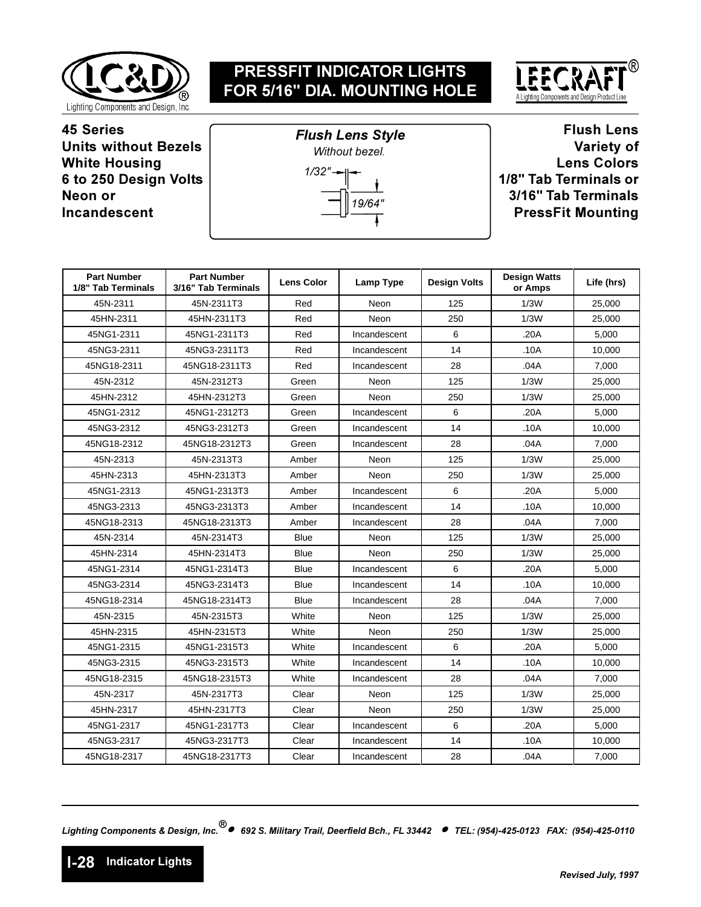



**45 Series Units without Bezels White Housing 6 to 250 Design Volts Neon or Incandescent** 



**Flush Lens** Variety of **Lens Colors 1/8" Tab Terminals or 3/16" Tab Terminals PressFit Mounting** 

| <b>Part Number</b><br>1/8" Tab Terminals | <b>Part Number</b><br>3/16" Tab Terminals | <b>Lens Color</b> | Lamp Type    | <b>Design Volts</b> | <b>Design Watts</b><br>or Amps | Life (hrs) |
|------------------------------------------|-------------------------------------------|-------------------|--------------|---------------------|--------------------------------|------------|
| 45N-2311                                 | 45N-2311T3                                | Red               | Neon         | 125                 | 1/3W                           | 25,000     |
| 45HN-2311                                | 45HN-2311T3                               | Red               | Neon         | 250                 | 1/3W                           | 25,000     |
| 45NG1-2311                               | 45NG1-2311T3                              | Red               | Incandescent | 6                   | .20A                           | 5.000      |
| 45NG3-2311                               | 45NG3-2311T3                              | Red               | Incandescent | 14                  | .10A                           | 10.000     |
| 45NG18-2311                              | 45NG18-2311T3                             | Red               | Incandescent | 28                  | .04A                           | 7.000      |
| 45N-2312                                 | 45N-2312T3                                | Green             | Neon         | 125                 | 1/3W                           | 25,000     |
| 45HN-2312                                | 45HN-2312T3                               | Green             | Neon         | 250                 | 1/3W                           | 25,000     |
| 45NG1-2312                               | 45NG1-2312T3                              | Green             | Incandescent | 6                   | .20A                           | 5,000      |
| 45NG3-2312                               | 45NG3-2312T3                              | Green             | Incandescent | 14                  | .10A                           | 10,000     |
| 45NG18-2312                              | 45NG18-2312T3                             | Green             | Incandescent | 28                  | .04A                           | 7,000      |
| 45N-2313                                 | 45N-2313T3                                | Amber             | Neon         | 125                 | 1/3W                           | 25,000     |
| 45HN-2313                                | 45HN-2313T3                               | Amber             | Neon         | 250                 | 1/3W                           | 25,000     |
| 45NG1-2313                               | 45NG1-2313T3                              | Amber             | Incandescent | 6                   | .20A                           | 5.000      |
| 45NG3-2313                               | 45NG3-2313T3                              | Amber             | Incandescent | 14                  | .10A                           | 10,000     |
| 45NG18-2313                              | 45NG18-2313T3                             | Amber             | Incandescent | 28                  | .04A                           | 7,000      |
| 45N-2314                                 | 45N-2314T3                                | <b>Blue</b>       | Neon         | 125                 | 1/3W                           | 25,000     |
| 45HN-2314                                | 45HN-2314T3                               | <b>Blue</b>       | Neon         | 250                 | 1/3W                           | 25,000     |
| 45NG1-2314                               | 45NG1-2314T3                              | Blue              | Incandescent | 6                   | .20A                           | 5.000      |
| 45NG3-2314                               | 45NG3-2314T3                              | <b>Blue</b>       | Incandescent | 14                  | .10A                           | 10.000     |
| 45NG18-2314                              | 45NG18-2314T3                             | Blue              | Incandescent | 28                  | .04A                           | 7.000      |
| 45N-2315                                 | 45N-2315T3                                | White             | Neon         | 125                 | 1/3W                           | 25,000     |
| 45HN-2315                                | 45HN-2315T3                               | White             | Neon         | 250                 | 1/3W                           | 25,000     |
| 45NG1-2315                               | 45NG1-2315T3                              | White             | Incandescent | 6                   | .20A                           | 5,000      |
| 45NG3-2315                               | 45NG3-2315T3                              | White             | Incandescent | 14                  | .10A                           | 10.000     |
| 45NG18-2315                              | 45NG18-2315T3                             | White             | Incandescent | 28                  | .04A                           | 7,000      |
| 45N-2317                                 | 45N-2317T3                                | Clear             | Neon         | 125                 | 1/3W                           | 25,000     |
| 45HN-2317                                | 45HN-2317T3                               | Clear             | Neon         | 250                 | 1/3W                           | 25,000     |
| 45NG1-2317                               | 45NG1-2317T3                              | Clear             | Incandescent | 6                   | .20A                           | 5.000      |
| 45NG3-2317                               | 45NG3-2317T3                              | Clear             | Incandescent | 14                  | .10A                           | 10,000     |
| 45NG18-2317                              | 45NG18-2317T3                             | Clear             | Incandescent | 28                  | .04A                           | 7,000      |

*-- 

----- !""## \$%&'#()#')\*+"!,-%&'#()#')\*++\**

**1-28** dicator Lights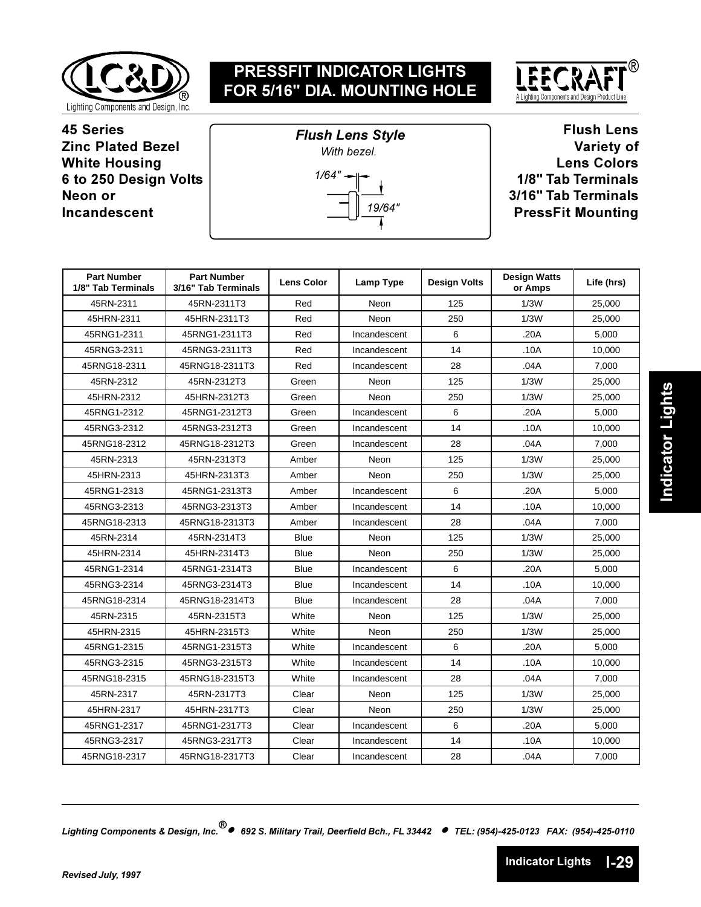

**Flush Lens Style** 



**45 Series Zinc Plated Bezel White Housing 6 to 250 Design Volts Neon or Incandescent** 



**Flush Lens** Variety of **Lens Colors 1/8" Tab Terminals 3/16" Tab Terminals PressFit Mounting** 

| <b>Part Number</b><br>1/8" Tab Terminals | <b>Part Number</b><br>3/16" Tab Terminals | <b>Lens Color</b> | Lamp Type    | <b>Design Volts</b> | <b>Design Watts</b><br>or Amps | Life (hrs) |
|------------------------------------------|-------------------------------------------|-------------------|--------------|---------------------|--------------------------------|------------|
| 45RN-2311                                | 45RN-2311T3                               | Red               | Neon         | 125                 | 1/3W                           | 25,000     |
| 45HRN-2311                               | 45HRN-2311T3                              | Red               | Neon         | 250                 | 1/3W                           | 25,000     |
| 45RNG1-2311                              | 45RNG1-2311T3                             | Red               | Incandescent | 6                   | .20A                           | 5,000      |
| 45RNG3-2311                              | 45RNG3-2311T3                             | Red               | Incandescent | 14                  | .10A                           | 10,000     |
| 45RNG18-2311                             | 45RNG18-2311T3                            | Red               | Incandescent | 28                  | .04A                           | 7,000      |
| 45RN-2312                                | 45RN-2312T3                               | Green             | Neon         | 125                 | 1/3W                           | 25,000     |
| 45HRN-2312                               | 45HRN-2312T3                              | Green             | Neon         | 250                 | 1/3W                           | 25,000     |
| 45RNG1-2312                              | 45RNG1-2312T3                             | Green             | Incandescent | 6                   | .20A                           | 5,000      |
| 45RNG3-2312                              | 45RNG3-2312T3                             | Green             | Incandescent | 14                  | .10A                           | 10.000     |
| 45RNG18-2312                             | 45RNG18-2312T3                            | Green             | Incandescent | 28                  | .04A                           | 7,000      |
| 45RN-2313                                | 45RN-2313T3                               | Amber             | Neon         | 125                 | 1/3W                           | 25,000     |
| 45HRN-2313                               | 45HRN-2313T3                              | Amber             | Neon         | 250                 | 1/3W                           | 25,000     |
| 45RNG1-2313                              | 45RNG1-2313T3                             | Amber             | Incandescent | 6                   | .20A                           | 5,000      |
| 45RNG3-2313                              | 45RNG3-2313T3                             | Amber             | Incandescent | 14                  | .10A                           | 10,000     |
| 45RNG18-2313                             | 45RNG18-2313T3                            | Amber             | Incandescent | 28                  | .04A                           | 7,000      |
| 45RN-2314                                | 45RN-2314T3                               | <b>Blue</b>       | Neon         | 125                 | 1/3W                           | 25,000     |
| 45HRN-2314                               | 45HRN-2314T3                              | <b>Blue</b>       | Neon         | 250                 | 1/3W                           | 25,000     |
| 45RNG1-2314                              | 45RNG1-2314T3                             | Blue              | Incandescent | 6                   | .20A                           | 5,000      |
| 45RNG3-2314                              | 45RNG3-2314T3                             | <b>Blue</b>       | Incandescent | 14                  | .10A                           | 10,000     |
| 45RNG18-2314                             | 45RNG18-2314T3                            | <b>Blue</b>       | Incandescent | 28                  | .04A                           | 7,000      |
| 45RN-2315                                | 45RN-2315T3                               | White             | Neon         | 125                 | 1/3W                           | 25,000     |
| 45HRN-2315                               | 45HRN-2315T3                              | White             | Neon         | 250                 | 1/3W                           | 25,000     |
| 45RNG1-2315                              | 45RNG1-2315T3                             | White             | Incandescent | 6                   | .20A                           | 5,000      |
| 45RNG3-2315                              | 45RNG3-2315T3                             | White             | Incandescent | 14                  | .10A                           | 10.000     |
| 45RNG18-2315                             | 45RNG18-2315T3                            | White             | Incandescent | 28                  | .04A                           | 7,000      |
| 45RN-2317                                | 45RN-2317T3                               | Clear             | Neon         | 125                 | 1/3W                           | 25,000     |
| 45HRN-2317                               | 45HRN-2317T3                              | Clear             | Neon         | 250                 | 1/3W                           | 25,000     |
| 45RNG1-2317                              | 45RNG1-2317T3                             | Clear             | Incandescent | 6                   | .20A                           | 5,000      |
| 45RNG3-2317                              | 45RNG3-2317T3                             | Clear             | Incandescent | 14                  | .10A                           | 10,000     |
| 45RNG18-2317                             | 45RNG18-2317T3                            | Clear             | Incandescent | 28                  | .04A                           | 7,000      |

*-- 

----- !""## \$%&'#()#')\*+"!,-%&'#()#')\*++\**